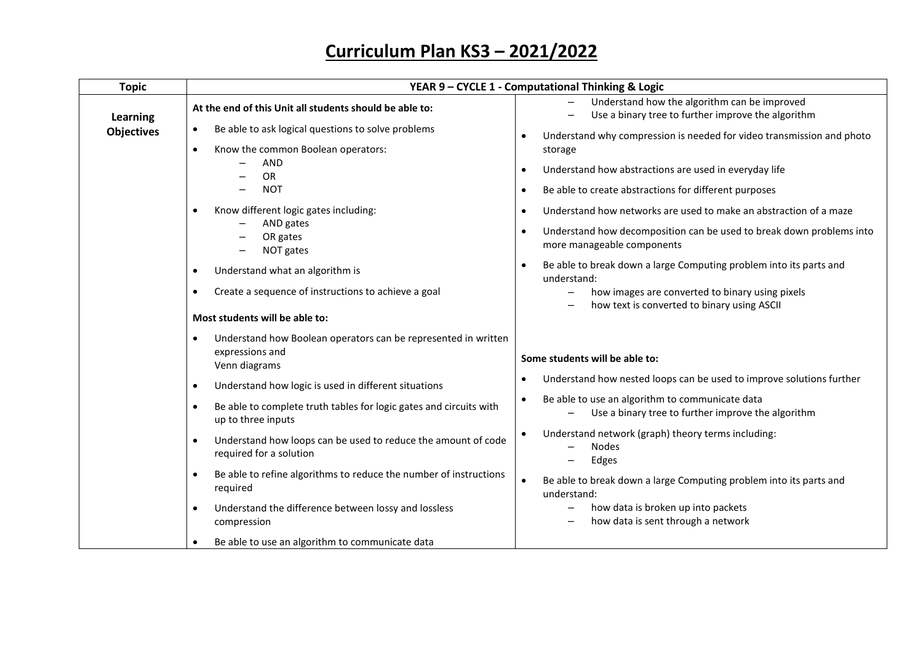| <b>Topic</b>      |                                                                                                                 | YEAR 9 - CYCLE 1 - Computational Thinking & Logic                                                     |
|-------------------|-----------------------------------------------------------------------------------------------------------------|-------------------------------------------------------------------------------------------------------|
| Learning          | At the end of this Unit all students should be able to:                                                         | Understand how the algorithm can be improved<br>Use a binary tree to further improve the algorithm    |
| <b>Objectives</b> | Be able to ask logical questions to solve problems<br>$\bullet$                                                 | Understand why compression is needed for video transmission and photo                                 |
|                   | Know the common Boolean operators:<br>$\bullet$                                                                 | storage                                                                                               |
|                   | <b>AND</b><br><b>OR</b>                                                                                         | Understand how abstractions are used in everyday life                                                 |
|                   | <b>NOT</b>                                                                                                      | Be able to create abstractions for different purposes<br>٠                                            |
|                   | Know different logic gates including:<br>$\bullet$                                                              | Understand how networks are used to make an abstraction of a maze<br>٠                                |
|                   | AND gates<br>OR gates<br>NOT gates                                                                              | Understand how decomposition can be used to break down problems into<br>more manageable components    |
|                   | Understand what an algorithm is<br>$\bullet$                                                                    | Be able to break down a large Computing problem into its parts and<br>understand:                     |
|                   | Create a sequence of instructions to achieve a goal<br>$\bullet$                                                | how images are converted to binary using pixels<br>how text is converted to binary using ASCII        |
|                   | Most students will be able to:                                                                                  |                                                                                                       |
|                   | Understand how Boolean operators can be represented in written<br>$\bullet$<br>expressions and<br>Venn diagrams | Some students will be able to:                                                                        |
|                   | Understand how logic is used in different situations<br>$\bullet$                                               | Understand how nested loops can be used to improve solutions further                                  |
|                   | Be able to complete truth tables for logic gates and circuits with<br>$\bullet$<br>up to three inputs           | Be able to use an algorithm to communicate data<br>Use a binary tree to further improve the algorithm |
|                   | Understand how loops can be used to reduce the amount of code<br>$\bullet$<br>required for a solution           | Understand network (graph) theory terms including:<br><b>Nodes</b><br>Edges                           |
|                   | Be able to refine algorithms to reduce the number of instructions<br>$\bullet$<br>required                      | Be able to break down a large Computing problem into its parts and<br>understand:                     |
|                   | Understand the difference between lossy and lossless<br>$\bullet$<br>compression                                | how data is broken up into packets<br>how data is sent through a network<br>$\overline{\phantom{m}}$  |
|                   | Be able to use an algorithm to communicate data<br>٠                                                            |                                                                                                       |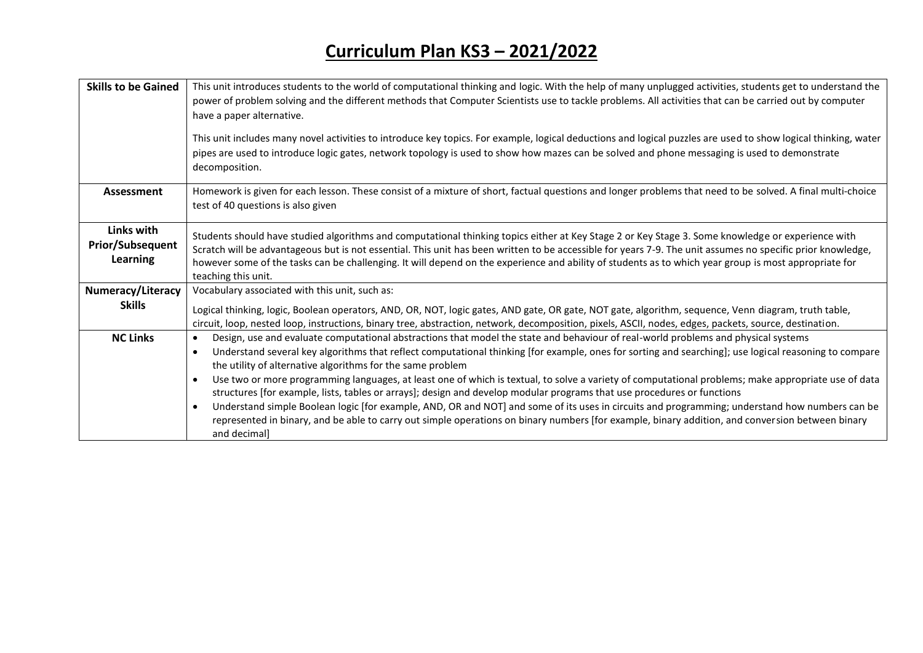| <b>Skills to be Gained</b>                        | This unit introduces students to the world of computational thinking and logic. With the help of many unplugged activities, students get to understand the<br>power of problem solving and the different methods that Computer Scientists use to tackle problems. All activities that can be carried out by computer<br>have a paper alternative.<br>This unit includes many novel activities to introduce key topics. For example, logical deductions and logical puzzles are used to show logical thinking, water<br>pipes are used to introduce logic gates, network topology is used to show how mazes can be solved and phone messaging is used to demonstrate<br>decomposition.                                                                                                                                                                                                                                                                                                                    |
|---------------------------------------------------|----------------------------------------------------------------------------------------------------------------------------------------------------------------------------------------------------------------------------------------------------------------------------------------------------------------------------------------------------------------------------------------------------------------------------------------------------------------------------------------------------------------------------------------------------------------------------------------------------------------------------------------------------------------------------------------------------------------------------------------------------------------------------------------------------------------------------------------------------------------------------------------------------------------------------------------------------------------------------------------------------------|
| Assessment                                        | Homework is given for each lesson. These consist of a mixture of short, factual questions and longer problems that need to be solved. A final multi-choice<br>test of 40 questions is also given                                                                                                                                                                                                                                                                                                                                                                                                                                                                                                                                                                                                                                                                                                                                                                                                         |
| Links with<br><b>Prior/Subsequent</b><br>Learning | Students should have studied algorithms and computational thinking topics either at Key Stage 2 or Key Stage 3. Some knowledge or experience with<br>Scratch will be advantageous but is not essential. This unit has been written to be accessible for years 7-9. The unit assumes no specific prior knowledge,<br>however some of the tasks can be challenging. It will depend on the experience and ability of students as to which year group is most appropriate for<br>teaching this unit.                                                                                                                                                                                                                                                                                                                                                                                                                                                                                                         |
| Numeracy/Literacy<br><b>Skills</b>                | Vocabulary associated with this unit, such as:<br>Logical thinking, logic, Boolean operators, AND, OR, NOT, logic gates, AND gate, OR gate, NOT gate, algorithm, sequence, Venn diagram, truth table,<br>circuit, loop, nested loop, instructions, binary tree, abstraction, network, decomposition, pixels, ASCII, nodes, edges, packets, source, destination.                                                                                                                                                                                                                                                                                                                                                                                                                                                                                                                                                                                                                                          |
| <b>NC Links</b>                                   | Design, use and evaluate computational abstractions that model the state and behaviour of real-world problems and physical systems<br>$\bullet$<br>Understand several key algorithms that reflect computational thinking [for example, ones for sorting and searching]; use logical reasoning to compare<br>$\bullet$<br>the utility of alternative algorithms for the same problem<br>Use two or more programming languages, at least one of which is textual, to solve a variety of computational problems; make appropriate use of data<br>structures [for example, lists, tables or arrays]; design and develop modular programs that use procedures or functions<br>Understand simple Boolean logic [for example, AND, OR and NOT] and some of its uses in circuits and programming; understand how numbers can be<br>$\bullet$<br>represented in binary, and be able to carry out simple operations on binary numbers [for example, binary addition, and conversion between binary<br>and decimal] |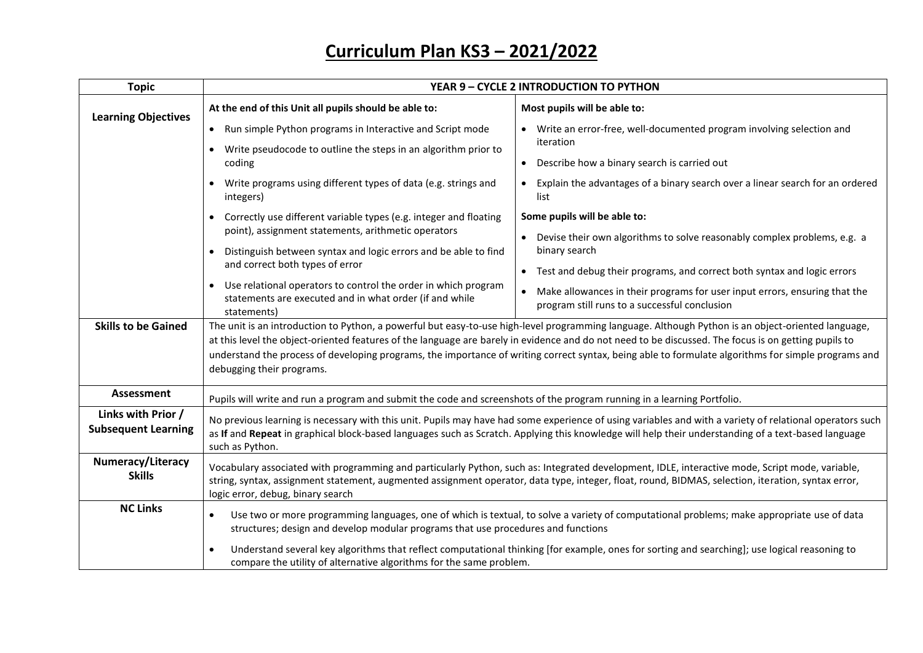| <b>Topic</b>                                     | YEAR 9 - CYCLE 2 INTRODUCTION TO PYTHON                                                                                                                                                                                                                                                                                                                                                                                                                                                        |                                                                                                                                          |
|--------------------------------------------------|------------------------------------------------------------------------------------------------------------------------------------------------------------------------------------------------------------------------------------------------------------------------------------------------------------------------------------------------------------------------------------------------------------------------------------------------------------------------------------------------|------------------------------------------------------------------------------------------------------------------------------------------|
| <b>Learning Objectives</b>                       | At the end of this Unit all pupils should be able to:                                                                                                                                                                                                                                                                                                                                                                                                                                          | Most pupils will be able to:                                                                                                             |
|                                                  | • Run simple Python programs in Interactive and Script mode                                                                                                                                                                                                                                                                                                                                                                                                                                    | Write an error-free, well-documented program involving selection and<br>iteration                                                        |
|                                                  | Write pseudocode to outline the steps in an algorithm prior to<br>coding                                                                                                                                                                                                                                                                                                                                                                                                                       | Describe how a binary search is carried out                                                                                              |
|                                                  | Write programs using different types of data (e.g. strings and<br>integers)                                                                                                                                                                                                                                                                                                                                                                                                                    | Explain the advantages of a binary search over a linear search for an ordered<br>list                                                    |
|                                                  | Correctly use different variable types (e.g. integer and floating<br>point), assignment statements, arithmetic operators<br>Distinguish between syntax and logic errors and be able to find                                                                                                                                                                                                                                                                                                    | Some pupils will be able to:                                                                                                             |
|                                                  |                                                                                                                                                                                                                                                                                                                                                                                                                                                                                                | Devise their own algorithms to solve reasonably complex problems, e.g. a<br>binary search                                                |
|                                                  | and correct both types of error                                                                                                                                                                                                                                                                                                                                                                                                                                                                | • Test and debug their programs, and correct both syntax and logic errors                                                                |
|                                                  | Use relational operators to control the order in which program<br>$\bullet$<br>statements are executed and in what order (if and while<br>statements)                                                                                                                                                                                                                                                                                                                                          | Make allowances in their programs for user input errors, ensuring that the<br>$\bullet$<br>program still runs to a successful conclusion |
| <b>Skills to be Gained</b>                       | The unit is an introduction to Python, a powerful but easy-to-use high-level programming language. Although Python is an object-oriented language,<br>at this level the object-oriented features of the language are barely in evidence and do not need to be discussed. The focus is on getting pupils to<br>understand the process of developing programs, the importance of writing correct syntax, being able to formulate algorithms for simple programs and<br>debugging their programs. |                                                                                                                                          |
| Assessment                                       | Pupils will write and run a program and submit the code and screenshots of the program running in a learning Portfolio.                                                                                                                                                                                                                                                                                                                                                                        |                                                                                                                                          |
| Links with Prior /<br><b>Subsequent Learning</b> | No previous learning is necessary with this unit. Pupils may have had some experience of using variables and with a variety of relational operators such<br>as If and Repeat in graphical block-based languages such as Scratch. Applying this knowledge will help their understanding of a text-based language<br>such as Python.                                                                                                                                                             |                                                                                                                                          |
| Numeracy/Literacy<br><b>Skills</b>               | Vocabulary associated with programming and particularly Python, such as: Integrated development, IDLE, interactive mode, Script mode, variable,<br>string, syntax, assignment statement, augmented assignment operator, data type, integer, float, round, BIDMAS, selection, iteration, syntax error,<br>logic error, debug, binary search                                                                                                                                                     |                                                                                                                                          |
| <b>NC Links</b>                                  | Use two or more programming languages, one of which is textual, to solve a variety of computational problems; make appropriate use of data<br>$\bullet$<br>structures; design and develop modular programs that use procedures and functions                                                                                                                                                                                                                                                   |                                                                                                                                          |
|                                                  | Understand several key algorithms that reflect computational thinking [for example, ones for sorting and searching]; use logical reasoning to<br>$\bullet$<br>compare the utility of alternative algorithms for the same problem.                                                                                                                                                                                                                                                              |                                                                                                                                          |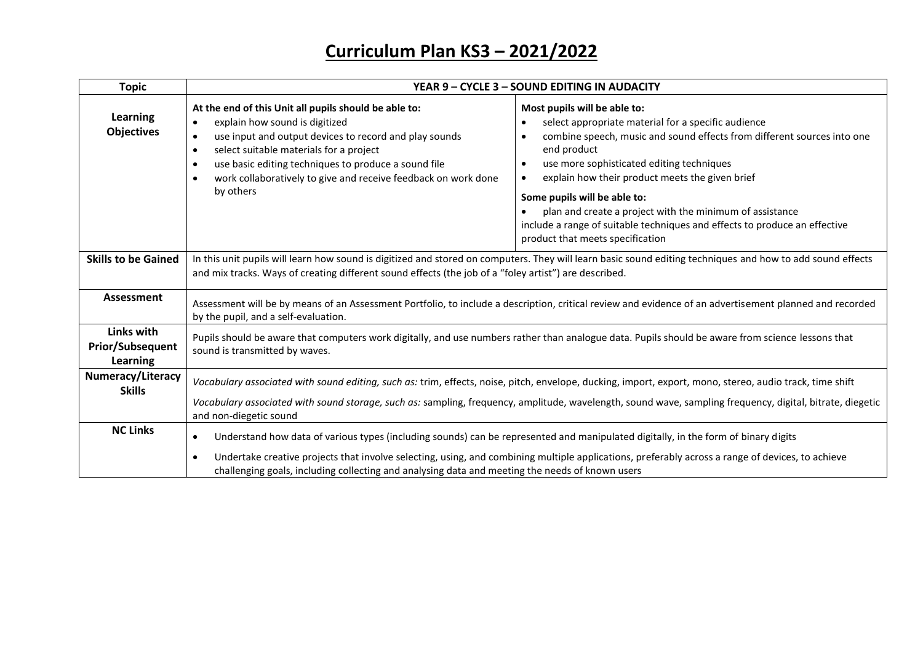| <b>Topic</b>                                             | YEAR 9 - CYCLE 3 - SOUND EDITING IN AUDACITY                                                                                                                                                                                                                                                                                                                                                                        |                                                                                                                                                                                                                                                                                                                                                                                                                                                                                             |
|----------------------------------------------------------|---------------------------------------------------------------------------------------------------------------------------------------------------------------------------------------------------------------------------------------------------------------------------------------------------------------------------------------------------------------------------------------------------------------------|---------------------------------------------------------------------------------------------------------------------------------------------------------------------------------------------------------------------------------------------------------------------------------------------------------------------------------------------------------------------------------------------------------------------------------------------------------------------------------------------|
| <b>Learning</b><br><b>Objectives</b>                     | At the end of this Unit all pupils should be able to:<br>explain how sound is digitized<br>use input and output devices to record and play sounds<br>select suitable materials for a project<br>٠<br>use basic editing techniques to produce a sound file<br>work collaboratively to give and receive feedback on work done<br>by others                                                                            | Most pupils will be able to:<br>select appropriate material for a specific audience<br>combine speech, music and sound effects from different sources into one<br>end product<br>use more sophisticated editing techniques<br>explain how their product meets the given brief<br>Some pupils will be able to:<br>plan and create a project with the minimum of assistance<br>include a range of suitable techniques and effects to produce an effective<br>product that meets specification |
| <b>Skills to be Gained</b>                               | In this unit pupils will learn how sound is digitized and stored on computers. They will learn basic sound editing techniques and how to add sound effects<br>and mix tracks. Ways of creating different sound effects (the job of a "foley artist") are described.                                                                                                                                                 |                                                                                                                                                                                                                                                                                                                                                                                                                                                                                             |
| Assessment                                               | Assessment will be by means of an Assessment Portfolio, to include a description, critical review and evidence of an advertisement planned and recorded<br>by the pupil, and a self-evaluation.                                                                                                                                                                                                                     |                                                                                                                                                                                                                                                                                                                                                                                                                                                                                             |
| Links with<br><b>Prior/Subsequent</b><br><b>Learning</b> | Pupils should be aware that computers work digitally, and use numbers rather than analogue data. Pupils should be aware from science lessons that<br>sound is transmitted by waves.                                                                                                                                                                                                                                 |                                                                                                                                                                                                                                                                                                                                                                                                                                                                                             |
| Numeracy/Literacy<br><b>Skills</b>                       | Vocabulary associated with sound editing, such as: trim, effects, noise, pitch, envelope, ducking, import, export, mono, stereo, audio track, time shift<br>Vocabulary associated with sound storage, such as: sampling, frequency, amplitude, wavelength, sound wave, sampling frequency, digital, bitrate, diegetic<br>and non-diegetic sound                                                                     |                                                                                                                                                                                                                                                                                                                                                                                                                                                                                             |
| <b>NC Links</b>                                          | Understand how data of various types (including sounds) can be represented and manipulated digitally, in the form of binary digits<br>$\bullet$<br>Undertake creative projects that involve selecting, using, and combining multiple applications, preferably across a range of devices, to achieve<br>$\bullet$<br>challenging goals, including collecting and analysing data and meeting the needs of known users |                                                                                                                                                                                                                                                                                                                                                                                                                                                                                             |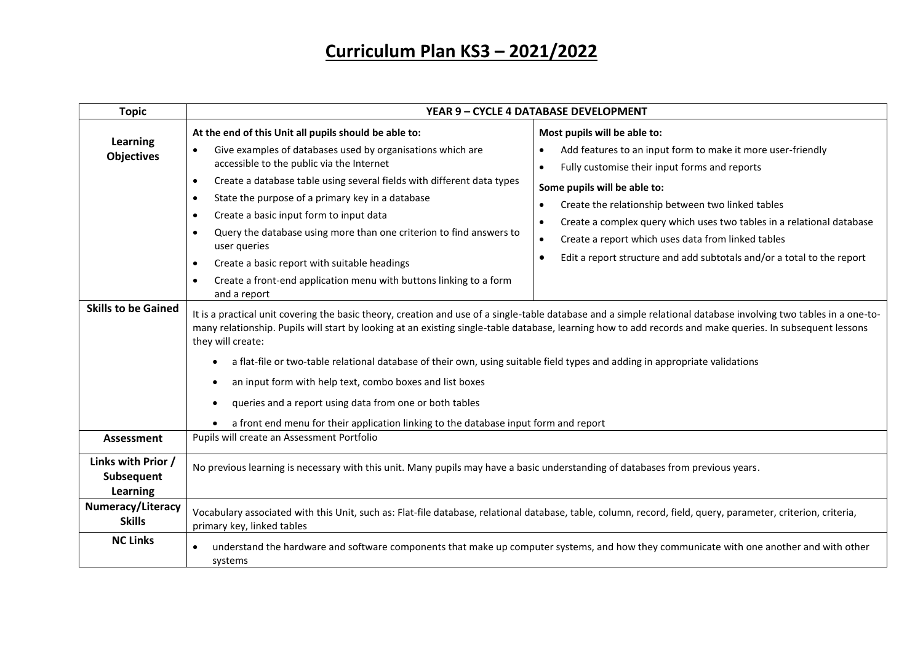| <b>Topic</b>                                                | YEAR 9 - CYCLE 4 DATABASE DEVELOPMENT                                                                                                                                                                                                                                                                                                                                                                                                                                                                                                                                                                                                                                                                                                                                                                                                                                                                                                                                                                                                                       |                                                                                                                                                                                                                                                                                                                                                                                                                                                                                                                                                                                                                                                                                              |
|-------------------------------------------------------------|-------------------------------------------------------------------------------------------------------------------------------------------------------------------------------------------------------------------------------------------------------------------------------------------------------------------------------------------------------------------------------------------------------------------------------------------------------------------------------------------------------------------------------------------------------------------------------------------------------------------------------------------------------------------------------------------------------------------------------------------------------------------------------------------------------------------------------------------------------------------------------------------------------------------------------------------------------------------------------------------------------------------------------------------------------------|----------------------------------------------------------------------------------------------------------------------------------------------------------------------------------------------------------------------------------------------------------------------------------------------------------------------------------------------------------------------------------------------------------------------------------------------------------------------------------------------------------------------------------------------------------------------------------------------------------------------------------------------------------------------------------------------|
| Learning<br><b>Objectives</b><br><b>Skills to be Gained</b> | At the end of this Unit all pupils should be able to:<br>Give examples of databases used by organisations which are<br>accessible to the public via the Internet<br>Create a database table using several fields with different data types<br>$\bullet$<br>State the purpose of a primary key in a database<br>$\bullet$<br>Create a basic input form to input data<br>$\bullet$<br>Query the database using more than one criterion to find answers to<br>$\bullet$<br>user queries<br>Create a basic report with suitable headings<br>$\bullet$<br>Create a front-end application menu with buttons linking to a form<br>$\bullet$<br>and a report<br>many relationship. Pupils will start by looking at an existing single-table database, learning how to add records and make queries. In subsequent lessons<br>they will create:<br>a flat-file or two-table relational database of their own, using suitable field types and adding in appropriate validations<br>$\bullet$<br>an input form with help text, combo boxes and list boxes<br>$\bullet$ | Most pupils will be able to:<br>Add features to an input form to make it more user-friendly<br>$\bullet$<br>Fully customise their input forms and reports<br>$\bullet$<br>Some pupils will be able to:<br>Create the relationship between two linked tables<br>$\bullet$<br>Create a complex query which uses two tables in a relational database<br>$\bullet$<br>Create a report which uses data from linked tables<br>$\bullet$<br>Edit a report structure and add subtotals and/or a total to the report<br>$\bullet$<br>It is a practical unit covering the basic theory, creation and use of a single-table database and a simple relational database involving two tables in a one-to- |
|                                                             | queries and a report using data from one or both tables<br>٠<br>a front end menu for their application linking to the database input form and report                                                                                                                                                                                                                                                                                                                                                                                                                                                                                                                                                                                                                                                                                                                                                                                                                                                                                                        |                                                                                                                                                                                                                                                                                                                                                                                                                                                                                                                                                                                                                                                                                              |
| Assessment                                                  | Pupils will create an Assessment Portfolio                                                                                                                                                                                                                                                                                                                                                                                                                                                                                                                                                                                                                                                                                                                                                                                                                                                                                                                                                                                                                  |                                                                                                                                                                                                                                                                                                                                                                                                                                                                                                                                                                                                                                                                                              |
| Links with Prior /<br>Subsequent<br>Learning                | No previous learning is necessary with this unit. Many pupils may have a basic understanding of databases from previous years.                                                                                                                                                                                                                                                                                                                                                                                                                                                                                                                                                                                                                                                                                                                                                                                                                                                                                                                              |                                                                                                                                                                                                                                                                                                                                                                                                                                                                                                                                                                                                                                                                                              |
| <b>Numeracy/Literacy</b><br><b>Skills</b>                   | Vocabulary associated with this Unit, such as: Flat-file database, relational database, table, column, record, field, query, parameter, criterion, criteria,<br>primary key, linked tables                                                                                                                                                                                                                                                                                                                                                                                                                                                                                                                                                                                                                                                                                                                                                                                                                                                                  |                                                                                                                                                                                                                                                                                                                                                                                                                                                                                                                                                                                                                                                                                              |
| <b>NC Links</b>                                             | understand the hardware and software components that make up computer systems, and how they communicate with one another and with other<br>systems                                                                                                                                                                                                                                                                                                                                                                                                                                                                                                                                                                                                                                                                                                                                                                                                                                                                                                          |                                                                                                                                                                                                                                                                                                                                                                                                                                                                                                                                                                                                                                                                                              |